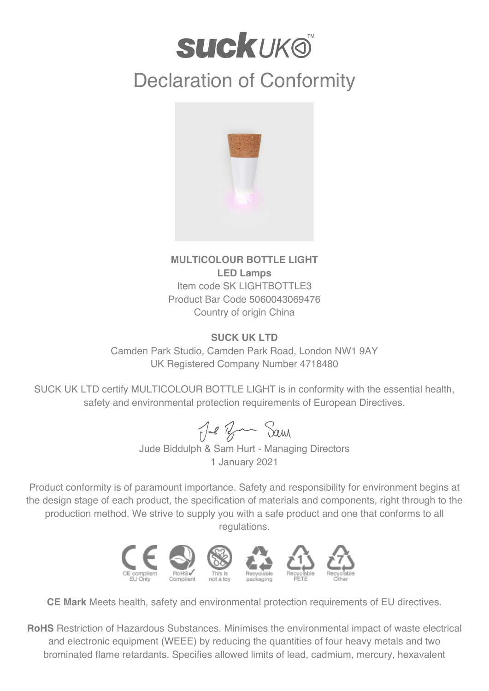## **SUCKUKO** Declaration of Conformity



## **MULTICOLOUR BOTTLE LIGHT LED Lamps** Item code SK LIGHTBOTTLE3 Product Bar Code 5060043069476 Country of origin China

## **SUCK UK LTD**

Camden Park Studio, Camden Park Road, London NW1 9AY UK Registered Company Number 4718480

SUCK UK LTD certify MULTICOLOUR BOTTLE LIGHT is in conformity with the essential health, safety and environmental protection requirements of European Directives.

Jul Br Sam

Jude Biddulph & Sam Hurt - Managing Directors 1 January 2021

Product conformity is of paramount importance. Safety and responsibility for environment begins at the design stage of each product, the specification of materials and components, right through to the production method. We strive to supply you with a safe product and one that conforms to all regulations.



**CE Mark** Meets health, safety and environmental protection requirements of EU directives.

**RoHS** Restriction of Hazardous Substances. Minimises the environmental impact of waste electrical and electronic equipment (WEEE) by reducing the quantities of four heavy metals and two brominated flame retardants. Specifies allowed limits of lead, cadmium, mercury, hexavalent